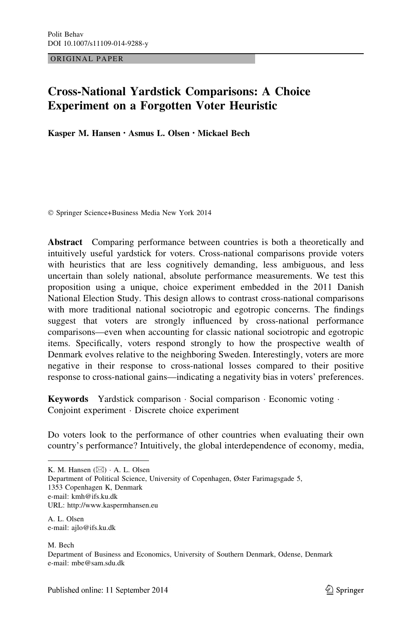ORIGINAL PAPER

# Cross-National Yardstick Comparisons: A Choice Experiment on a Forgotten Voter Heuristic

Kasper M. Hansen • Asmus L. Olsen • Mickael Bech

- Springer Science+Business Media New York 2014

Abstract Comparing performance between countries is both a theoretically and intuitively useful yardstick for voters. Cross-national comparisons provide voters with heuristics that are less cognitively demanding, less ambiguous, and less uncertain than solely national, absolute performance measurements. We test this proposition using a unique, choice experiment embedded in the 2011 Danish National Election Study. This design allows to contrast cross-national comparisons with more traditional national sociotropic and egotropic concerns. The findings suggest that voters are strongly influenced by cross-national performance comparisons—even when accounting for classic national sociotropic and egotropic items. Specifically, voters respond strongly to how the prospective wealth of Denmark evolves relative to the neighboring Sweden. Interestingly, voters are more negative in their response to cross-national losses compared to their positive response to cross-national gains—indicating a negativity bias in voters' preferences.

Keywords Yardstick comparison · Social comparison · Economic voting · Conjoint experiment - Discrete choice experiment

Do voters look to the performance of other countries when evaluating their own country's performance? Intuitively, the global interdependence of economy, media,

K. M. Hansen  $(\boxtimes) \cdot A$ . L. Olsen

Department of Political Science, University of Copenhagen, Øster Farimagsgade 5, 1353 Copenhagen K, Denmark e-mail: kmh@ifs.ku.dk URL: http://www.kaspermhansen.eu

A. L. Olsen e-mail: ajlo@ifs.ku.dk

M. Bech

Department of Business and Economics, University of Southern Denmark, Odense, Denmark e-mail: mbe@sam.sdu.dk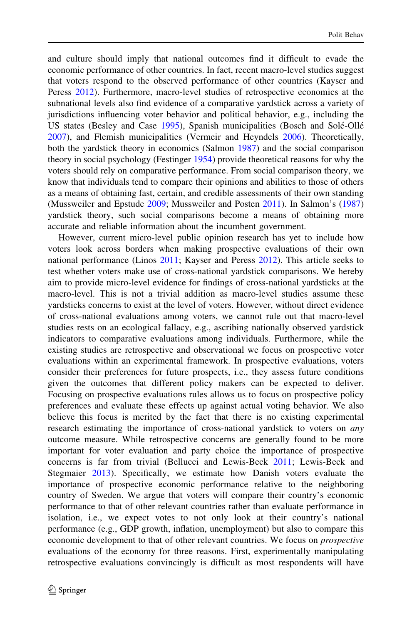and culture should imply that national outcomes find it difficult to evade the economic performance of other countries. In fact, recent macro-level studies suggest that voters respond to the observed performance of other countries (Kayser and Peress [2012](#page-21-0)). Furthermore, macro-level studies of retrospective economics at the subnational levels also find evidence of a comparative yardstick across a variety of jurisdictions influencing voter behavior and political behavior, e.g., including the US states (Besley and Case [1995\)](#page-20-0), Spanish municipalities (Bosch and Solé-Ollé [2007\)](#page-20-0), and Flemish municipalities (Vermeir and Heyndels [2006\)](#page-22-0). Theoretically, both the yardstick theory in economics (Salmon [1987\)](#page-22-0) and the social comparison theory in social psychology (Festinger [1954](#page-20-0)) provide theoretical reasons for why the voters should rely on comparative performance. From social comparison theory, we know that individuals tend to compare their opinions and abilities to those of others as a means of obtaining fast, certain, and credible assessments of their own standing (Mussweiler and Epstude [2009](#page-21-0); Mussweiler and Posten [2011](#page-21-0)). In Salmon's [\(1987](#page-22-0)) yardstick theory, such social comparisons become a means of obtaining more accurate and reliable information about the incumbent government.

However, current micro-level public opinion research has yet to include how voters look across borders when making prospective evaluations of their own national performance (Linos [2011;](#page-21-0) Kayser and Peress [2012\)](#page-21-0). This article seeks to test whether voters make use of cross-national yardstick comparisons. We hereby aim to provide micro-level evidence for findings of cross-national yardsticks at the macro-level. This is not a trivial addition as macro-level studies assume these yardsticks concerns to exist at the level of voters. However, without direct evidence of cross-national evaluations among voters, we cannot rule out that macro-level studies rests on an ecological fallacy, e.g., ascribing nationally observed yardstick indicators to comparative evaluations among individuals. Furthermore, while the existing studies are retrospective and observational we focus on prospective voter evaluations within an experimental framework. In prospective evaluations, voters consider their preferences for future prospects, i.e., they assess future conditions given the outcomes that different policy makers can be expected to deliver. Focusing on prospective evaluations rules allows us to focus on prospective policy preferences and evaluate these effects up against actual voting behavior. We also believe this focus is merited by the fact that there is no existing experimental research estimating the importance of cross-national vardstick to voters on *any* outcome measure. While retrospective concerns are generally found to be more important for voter evaluation and party choice the importance of prospective concerns is far from trivial (Bellucci and Lewis-Beck [2011;](#page-19-0) Lewis-Beck and Stegmaier [2013](#page-21-0)). Specifically, we estimate how Danish voters evaluate the importance of prospective economic performance relative to the neighboring country of Sweden. We argue that voters will compare their country's economic performance to that of other relevant countries rather than evaluate performance in isolation, i.e., we expect votes to not only look at their country's national performance (e.g., GDP growth, inflation, unemployment) but also to compare this economic development to that of other relevant countries. We focus on *prospective* evaluations of the economy for three reasons. First, experimentally manipulating retrospective evaluations convincingly is difficult as most respondents will have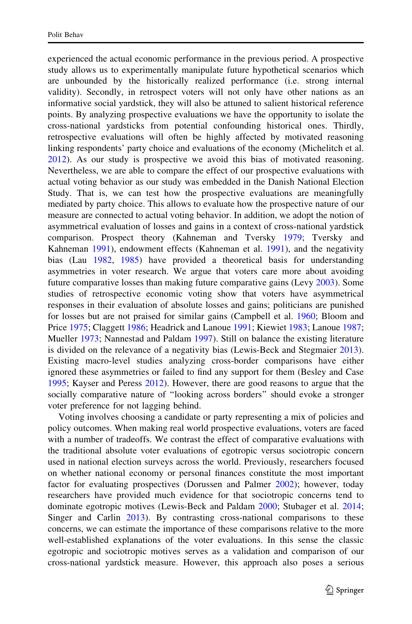experienced the actual economic performance in the previous period. A prospective study allows us to experimentally manipulate future hypothetical scenarios which are unbounded by the historically realized performance (i.e. strong internal validity). Secondly, in retrospect voters will not only have other nations as an informative social yardstick, they will also be attuned to salient historical reference points. By analyzing prospective evaluations we have the opportunity to isolate the cross-national yardsticks from potential confounding historical ones. Thirdly, retrospective evaluations will often be highly affected by motivated reasoning linking respondents' party choice and evaluations of the economy (Michelitch et al. [2012\)](#page-21-0). As our study is prospective we avoid this bias of motivated reasoning. Nevertheless, we are able to compare the effect of our prospective evaluations with actual voting behavior as our study was embedded in the Danish National Election Study. That is, we can test how the prospective evaluations are meaningfully mediated by party choice. This allows to evaluate how the prospective nature of our measure are connected to actual voting behavior. In addition, we adopt the notion of asymmetrical evaluation of losses and gains in a context of cross-national yardstick comparison. Prospect theory (Kahneman and Tversky [1979](#page-21-0); Tversky and Kahneman [1991](#page-22-0)), endowment effects (Kahneman et al. [1991](#page-21-0)), and the negativity bias (Lau [1982](#page-21-0), [1985\)](#page-21-0) have provided a theoretical basis for understanding asymmetries in voter research. We argue that voters care more about avoiding future comparative losses than making future comparative gains (Levy [2003](#page-21-0)). Some studies of retrospective economic voting show that voters have asymmetrical responses in their evaluation of absolute losses and gains; politicians are punished for losses but are not praised for similar gains (Campbell et al. [1960;](#page-20-0) Bloom and Price [1975;](#page-20-0) Claggett [1986](#page-20-0); Headrick and Lanoue [1991;](#page-20-0) Kiewiet [1983](#page-21-0); Lanoue [1987;](#page-21-0) Mueller [1973;](#page-21-0) Nannestad and Paldam [1997](#page-22-0)). Still on balance the existing literature is divided on the relevance of a negativity bias (Lewis-Beck and Stegmaier [2013\)](#page-21-0). Existing macro-level studies analyzing cross-border comparisons have either ignored these asymmetries or failed to find any support for them (Besley and Case [1995;](#page-20-0) Kayser and Peress [2012\)](#page-21-0). However, there are good reasons to argue that the socially comparative nature of ''looking across borders'' should evoke a stronger voter preference for not lagging behind.

Voting involves choosing a candidate or party representing a mix of policies and policy outcomes. When making real world prospective evaluations, voters are faced with a number of tradeoffs. We contrast the effect of comparative evaluations with the traditional absolute voter evaluations of egotropic versus sociotropic concern used in national election surveys across the world. Previously, researchers focused on whether national economy or personal finances constitute the most important factor for evaluating prospectives (Dorussen and Palmer [2002\)](#page-20-0); however, today researchers have provided much evidence for that sociotropic concerns tend to dominate egotropic motives (Lewis-Beck and Paldam [2000;](#page-21-0) Stubager et al. [2014;](#page-22-0) Singer and Carlin [2013\)](#page-22-0). By contrasting cross-national comparisons to these concerns, we can estimate the importance of these comparisons relative to the more well-established explanations of the voter evaluations. In this sense the classic egotropic and sociotropic motives serves as a validation and comparison of our cross-national yardstick measure. However, this approach also poses a serious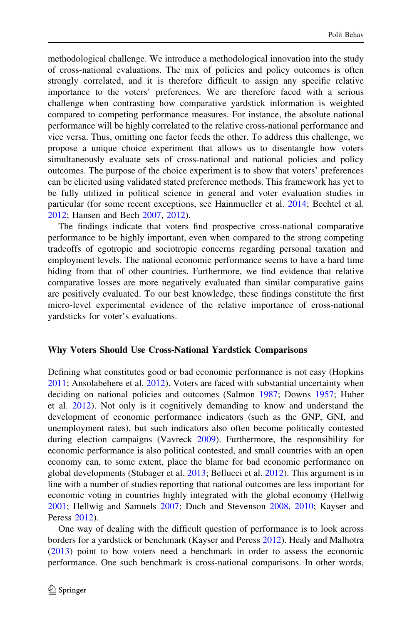methodological challenge. We introduce a methodological innovation into the study of cross-national evaluations. The mix of policies and policy outcomes is often strongly correlated, and it is therefore difficult to assign any specific relative importance to the voters' preferences. We are therefore faced with a serious challenge when contrasting how comparative yardstick information is weighted compared to competing performance measures. For instance, the absolute national performance will be highly correlated to the relative cross-national performance and vice versa. Thus, omitting one factor feeds the other. To address this challenge, we propose a unique choice experiment that allows us to disentangle how voters simultaneously evaluate sets of cross-national and national policies and policy outcomes. The purpose of the choice experiment is to show that voters' preferences can be elicited using validated stated preference methods. This framework has yet to be fully utilized in political science in general and voter evaluation studies in particular (for some recent exceptions, see Hainmueller et al. [2014](#page-20-0); Bechtel et al. [2012;](#page-19-0) Hansen and Bech [2007](#page-20-0), [2012\)](#page-20-0).

The findings indicate that voters find prospective cross-national comparative performance to be highly important, even when compared to the strong competing tradeoffs of egotropic and sociotropic concerns regarding personal taxation and employment levels. The national economic performance seems to have a hard time hiding from that of other countries. Furthermore, we find evidence that relative comparative losses are more negatively evaluated than similar comparative gains are positively evaluated. To our best knowledge, these findings constitute the first micro-level experimental evidence of the relative importance of cross-national yardsticks for voter's evaluations.

#### Why Voters Should Use Cross-National Yardstick Comparisons

Defining what constitutes good or bad economic performance is not easy (Hopkins [2011;](#page-21-0) Ansolabehere et al. [2012](#page-19-0)). Voters are faced with substantial uncertainty when deciding on national policies and outcomes (Salmon [1987](#page-22-0); Downs [1957](#page-20-0); Huber et al. [2012](#page-21-0)). Not only is it cognitively demanding to know and understand the development of economic performance indicators (such as the GNP, GNI, and unemployment rates), but such indicators also often become politically contested during election campaigns (Vavreck [2009](#page-22-0)). Furthermore, the responsibility for economic performance is also political contested, and small countries with an open economy can, to some extent, place the blame for bad economic performance on global developments (Stubager et al. [2013;](#page-22-0) Bellucci et al. [2012\)](#page-20-0). This argument is in line with a number of studies reporting that national outcomes are less important for economic voting in countries highly integrated with the global economy (Hellwig [2001;](#page-20-0) Hellwig and Samuels [2007](#page-20-0); Duch and Stevenson [2008,](#page-20-0) [2010](#page-20-0); Kayser and Peress [2012\)](#page-21-0).

One way of dealing with the difficult question of performance is to look across borders for a yardstick or benchmark (Kayser and Peress [2012](#page-21-0)). Healy and Malhotra [\(2013](#page-20-0)) point to how voters need a benchmark in order to assess the economic performance. One such benchmark is cross-national comparisons. In other words,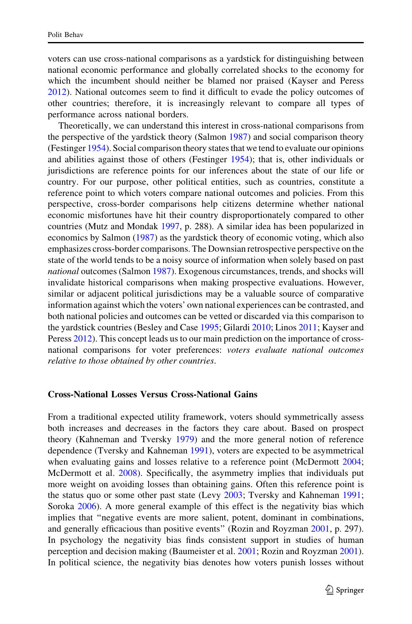voters can use cross-national comparisons as a yardstick for distinguishing between national economic performance and globally correlated shocks to the economy for which the incumbent should neither be blamed nor praised (Kayser and Peress [2012\)](#page-21-0). National outcomes seem to find it difficult to evade the policy outcomes of other countries; therefore, it is increasingly relevant to compare all types of performance across national borders.

Theoretically, we can understand this interest in cross-national comparisons from the perspective of the yardstick theory (Salmon [1987](#page-22-0)) and social comparison theory (Festinger [1954](#page-20-0)). Social comparison theory states that we tend to evaluate our opinions and abilities against those of others (Festinger [1954](#page-20-0)); that is, other individuals or jurisdictions are reference points for our inferences about the state of our life or country. For our purpose, other political entities, such as countries, constitute a reference point to which voters compare national outcomes and policies. From this perspective, cross-border comparisons help citizens determine whether national economic misfortunes have hit their country disproportionately compared to other countries (Mutz and Mondak [1997,](#page-21-0) p. 288). A similar idea has been popularized in economics by Salmon ([1987\)](#page-22-0) as the yardstick theory of economic voting, which also emphasizes cross-border comparisons. The Downsian retrospective perspective on the state of the world tends to be a noisy source of information when solely based on past national outcomes (Salmon [1987\)](#page-22-0). Exogenous circumstances, trends, and shocks will invalidate historical comparisons when making prospective evaluations. However, similar or adjacent political jurisdictions may be a valuable source of comparative information against which the voters' own national experiences can be contrasted, and both national policies and outcomes can be vetted or discarded via this comparison to the yardstick countries (Besley and Case [1995;](#page-20-0) Gilardi [2010;](#page-20-0) Linos [2011;](#page-21-0) Kayser and Peress [2012](#page-21-0)). This concept leads us to our main prediction on the importance of crossnational comparisons for voter preferences: voters evaluate national outcomes relative to those obtained by other countries.

## Cross-National Losses Versus Cross-National Gains

From a traditional expected utility framework, voters should symmetrically assess both increases and decreases in the factors they care about. Based on prospect theory (Kahneman and Tversky [1979](#page-21-0)) and the more general notion of reference dependence (Tversky and Kahneman [1991\)](#page-22-0), voters are expected to be asymmetrical when evaluating gains and losses relative to a reference point (McDermott [2004;](#page-21-0) McDermott et al. [2008](#page-21-0)). Specifically, the asymmetry implies that individuals put more weight on avoiding losses than obtaining gains. Often this reference point is the status quo or some other past state (Levy [2003](#page-21-0); Tversky and Kahneman [1991;](#page-22-0) Soroka [2006\)](#page-22-0). A more general example of this effect is the negativity bias which implies that ''negative events are more salient, potent, dominant in combinations, and generally efficacious than positive events'' (Rozin and Royzman [2001,](#page-22-0) p. 297). In psychology the negativity bias finds consistent support in studies of human perception and decision making (Baumeister et al. [2001;](#page-19-0) Rozin and Royzman [2001\)](#page-22-0). In political science, the negativity bias denotes how voters punish losses without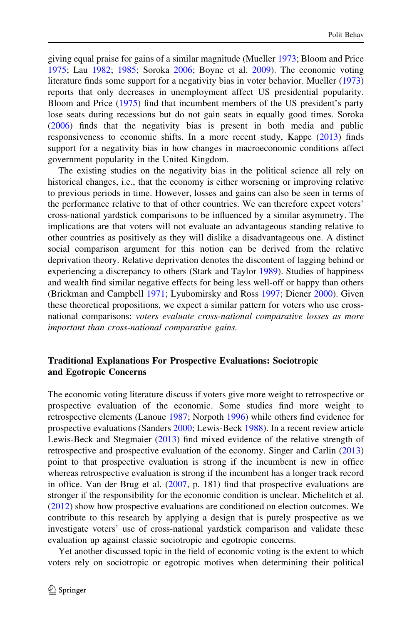giving equal praise for gains of a similar magnitude (Mueller [1973](#page-21-0); Bloom and Price [1975;](#page-20-0) Lau [1982](#page-21-0); [1985](#page-21-0); Soroka [2006](#page-22-0); Boyne et al. [2009](#page-20-0)). The economic voting literature finds some support for a negativity bias in voter behavior. Mueller [\(1973](#page-21-0)) reports that only decreases in unemployment affect US presidential popularity. Bloom and Price ([1975\)](#page-20-0) find that incumbent members of the US president's party lose seats during recessions but do not gain seats in equally good times. Soroka [\(2006](#page-22-0)) finds that the negativity bias is present in both media and public responsiveness to economic shifts. In a more recent study, Kappe ([2013\)](#page-21-0) finds support for a negativity bias in how changes in macroeconomic conditions affect government popularity in the United Kingdom.

The existing studies on the negativity bias in the political science all rely on historical changes, i.e., that the economy is either worsening or improving relative to previous periods in time. However, losses and gains can also be seen in terms of the performance relative to that of other countries. We can therefore expect voters' cross-national yardstick comparisons to be influenced by a similar asymmetry. The implications are that voters will not evaluate an advantageous standing relative to other countries as positively as they will dislike a disadvantageous one. A distinct social comparison argument for this notion can be derived from the relative deprivation theory. Relative deprivation denotes the discontent of lagging behind or experiencing a discrepancy to others (Stark and Taylor [1989\)](#page-22-0). Studies of happiness and wealth find similar negative effects for being less well-off or happy than others (Brickman and Campbell [1971](#page-20-0); Lyubomirsky and Ross [1997;](#page-21-0) Diener [2000](#page-20-0)). Given these theoretical propositions, we expect a similar pattern for voters who use crossnational comparisons: voters evaluate cross-national comparative losses as more important than cross-national comparative gains.

## Traditional Explanations For Prospective Evaluations: Sociotropic and Egotropic Concerns

The economic voting literature discuss if voters give more weight to retrospective or prospective evaluation of the economic. Some studies find more weight to retrospective elements (Lanoue [1987](#page-21-0); Norpoth [1996\)](#page-22-0) while others find evidence for prospective evaluations (Sanders [2000;](#page-22-0) Lewis-Beck [1988\)](#page-21-0). In a recent review article Lewis-Beck and Stegmaier ([2013\)](#page-21-0) find mixed evidence of the relative strength of retrospective and prospective evaluation of the economy. Singer and Carlin [\(2013](#page-22-0)) point to that prospective evaluation is strong if the incumbent is new in office whereas retrospective evaluation is strong if the incumbent has a longer track record in office. Van der Brug et al. ([2007,](#page-22-0) p. 181) find that prospective evaluations are stronger if the responsibility for the economic condition is unclear. Michelitch et al. [\(2012](#page-21-0)) show how prospective evaluations are conditioned on election outcomes. We contribute to this research by applying a design that is purely prospective as we investigate voters' use of cross-national yardstick comparison and validate these evaluation up against classic sociotropic and egotropic concerns.

Yet another discussed topic in the field of economic voting is the extent to which voters rely on sociotropic or egotropic motives when determining their political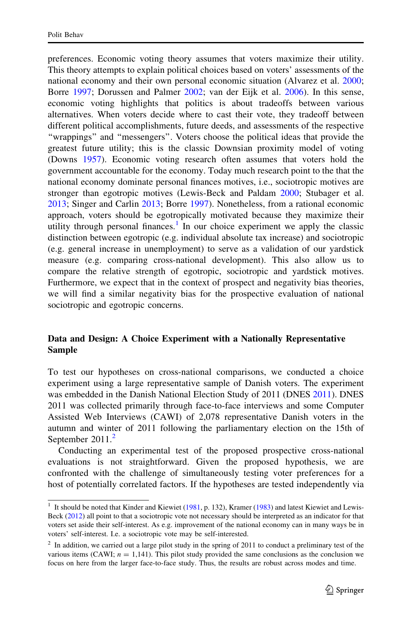preferences. Economic voting theory assumes that voters maximize their utility. This theory attempts to explain political choices based on voters' assessments of the national economy and their own personal economic situation (Alvarez et al. [2000;](#page-19-0) Borre [1997;](#page-20-0) Dorussen and Palmer [2002;](#page-20-0) van der Eijk et al. [2006\)](#page-22-0). In this sense, economic voting highlights that politics is about tradeoffs between various alternatives. When voters decide where to cast their vote, they tradeoff between different political accomplishments, future deeds, and assessments of the respective ''wrappings'' and ''messengers''. Voters choose the political ideas that provide the greatest future utility; this is the classic Downsian proximity model of voting (Downs [1957](#page-20-0)). Economic voting research often assumes that voters hold the government accountable for the economy. Today much research point to the that the national economy dominate personal finances motives, i.e., sociotropic motives are stronger than egotropic motives (Lewis-Beck and Paldam [2000](#page-21-0); Stubager et al. [2013;](#page-22-0) Singer and Carlin [2013](#page-22-0); Borre [1997\)](#page-20-0). Nonetheless, from a rational economic approach, voters should be egotropically motivated because they maximize their utility through personal finances.<sup>1</sup> In our choice experiment we apply the classic distinction between egotropic (e.g. individual absolute tax increase) and sociotropic (e.g. general increase in unemployment) to serve as a validation of our yardstick measure (e.g. comparing cross-national development). This also allow us to compare the relative strength of egotropic, sociotropic and yardstick motives. Furthermore, we expect that in the context of prospect and negativity bias theories, we will find a similar negativity bias for the prospective evaluation of national sociotropic and egotropic concerns.

## Data and Design: A Choice Experiment with a Nationally Representative Sample

To test our hypotheses on cross-national comparisons, we conducted a choice experiment using a large representative sample of Danish voters. The experiment was embedded in the Danish National Election Study of 2011 (DNES [2011\)](#page-20-0). DNES 2011 was collected primarily through face-to-face interviews and some Computer Assisted Web Interviews (CAWI) of 2,078 representative Danish voters in the autumn and winter of 2011 following the parliamentary election on the 15th of September 2011.<sup>2</sup>

Conducting an experimental test of the proposed prospective cross-national evaluations is not straightforward. Given the proposed hypothesis, we are confronted with the challenge of simultaneously testing voter preferences for a host of potentially correlated factors. If the hypotheses are tested independently via

<sup>&</sup>lt;sup>1</sup> It should be noted that Kinder and Kiewiet [\(1981,](#page-21-0) p. 132), Kramer [\(1983\)](#page-21-0) and latest Kiewiet and Lewis-Beck [\(2012\)](#page-21-0) all point to that a sociotropic vote not necessary should be interpreted as an indicator for that voters set aside their self-interest. As e.g. improvement of the national economy can in many ways be in voters' self-interest. I.e. a sociotropic vote may be self-interested.

 $2$  In addition, we carried out a large pilot study in the spring of 2011 to conduct a preliminary test of the various items (CAWI;  $n = 1,141$ ). This pilot study provided the same conclusions as the conclusion we focus on here from the larger face-to-face study. Thus, the results are robust across modes and time.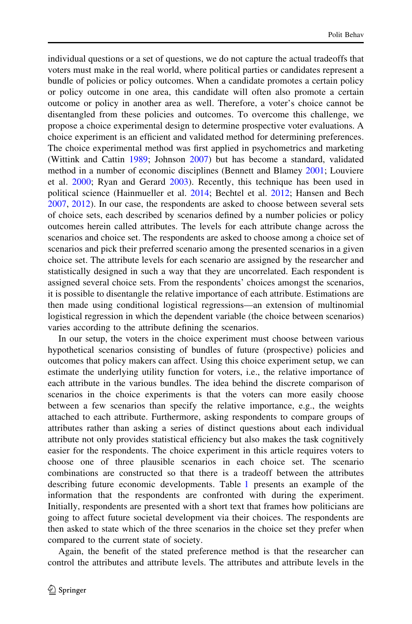individual questions or a set of questions, we do not capture the actual tradeoffs that voters must make in the real world, where political parties or candidates represent a bundle of policies or policy outcomes. When a candidate promotes a certain policy or policy outcome in one area, this candidate will often also promote a certain outcome or policy in another area as well. Therefore, a voter's choice cannot be disentangled from these policies and outcomes. To overcome this challenge, we propose a choice experimental design to determine prospective voter evaluations. A choice experiment is an efficient and validated method for determining preferences. The choice experimental method was first applied in psychometrics and marketing (Wittink and Cattin [1989;](#page-22-0) Johnson [2007](#page-21-0)) but has become a standard, validated method in a number of economic disciplines (Bennett and Blamey [2001](#page-20-0); Louviere et al. [2000](#page-21-0); Ryan and Gerard [2003](#page-22-0)). Recently, this technique has been used in political science (Hainmueller et al. [2014](#page-20-0); Bechtel et al. [2012](#page-19-0); Hansen and Bech [2007,](#page-20-0) [2012\)](#page-20-0). In our case, the respondents are asked to choose between several sets of choice sets, each described by scenarios defined by a number policies or policy outcomes herein called attributes. The levels for each attribute change across the scenarios and choice set. The respondents are asked to choose among a choice set of scenarios and pick their preferred scenario among the presented scenarios in a given choice set. The attribute levels for each scenario are assigned by the researcher and statistically designed in such a way that they are uncorrelated. Each respondent is assigned several choice sets. From the respondents' choices amongst the scenarios, it is possible to disentangle the relative importance of each attribute. Estimations are then made using conditional logistical regressions—an extension of multinomial logistical regression in which the dependent variable (the choice between scenarios) varies according to the attribute defining the scenarios.

In our setup, the voters in the choice experiment must choose between various hypothetical scenarios consisting of bundles of future (prospective) policies and outcomes that policy makers can affect. Using this choice experiment setup, we can estimate the underlying utility function for voters, i.e., the relative importance of each attribute in the various bundles. The idea behind the discrete comparison of scenarios in the choice experiments is that the voters can more easily choose between a few scenarios than specify the relative importance, e.g., the weights attached to each attribute. Furthermore, asking respondents to compare groups of attributes rather than asking a series of distinct questions about each individual attribute not only provides statistical efficiency but also makes the task cognitively easier for the respondents. The choice experiment in this article requires voters to choose one of three plausible scenarios in each choice set. The scenario combinations are constructed so that there is a tradeoff between the attributes describing future economic developments. Table [1](#page-8-0) presents an example of the information that the respondents are confronted with during the experiment. Initially, respondents are presented with a short text that frames how politicians are going to affect future societal development via their choices. The respondents are then asked to state which of the three scenarios in the choice set they prefer when compared to the current state of society.

Again, the benefit of the stated preference method is that the researcher can control the attributes and attribute levels. The attributes and attribute levels in the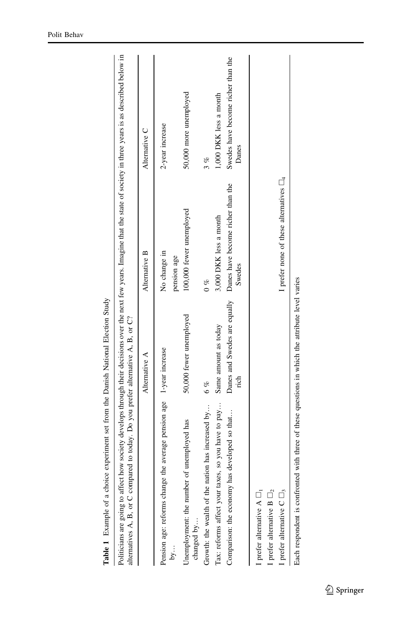<span id="page-8-0"></span>

| Politicians are going to affect how society develops through their decisions over the next few years. Imagine that the state of society in three years is as described below in<br>alternatives A, B, or C compared to today. Do you prefer alternative A, B, or C?<br>Table 1 Example of a choice | experiment set from the Danish National Election Study            |                                                 |                                             |
|----------------------------------------------------------------------------------------------------------------------------------------------------------------------------------------------------------------------------------------------------------------------------------------------------|-------------------------------------------------------------------|-------------------------------------------------|---------------------------------------------|
|                                                                                                                                                                                                                                                                                                    | Alternative A                                                     | Alternative B                                   | Alternative C                               |
| Pension age: reforms change the average pension age 1-year increase<br>by                                                                                                                                                                                                                          |                                                                   | No change in<br>pension age                     | 2-year increase                             |
| unemployed has<br>Unemployment: the number of<br>changed by                                                                                                                                                                                                                                        | 50,000 fewer unemployed                                           | 100,000 fewer unemployed                        | 50,000 more unemployed                      |
| Growth: the wealth of the nation has increased by                                                                                                                                                                                                                                                  | 6 %                                                               | $\frac{2}{2}$                                   | 3%                                          |
| so you have to pay<br>Tax: reforms affect your taxes,                                                                                                                                                                                                                                              | Same amount as today                                              | 3,000 DKK less a month                          | 1,000 DKK less a month                      |
| developed so that<br>Comparison: the economy has                                                                                                                                                                                                                                                   | Danes and Swedes are equally<br>rich                              | Danes have become richer than the<br>Swedes     | Swedes have become richer than the<br>Danes |
| I prefer alternative A $\square_1$<br>I prefer alternative B $\square_2$                                                                                                                                                                                                                           |                                                                   |                                                 |                                             |
| I prefer alternative $C \Box_3$                                                                                                                                                                                                                                                                    |                                                                   | I prefer none of these alternatives $\square_4$ |                                             |
| Each respondent is confronted                                                                                                                                                                                                                                                                      | with three of these questions in which the attribute level varies |                                                 |                                             |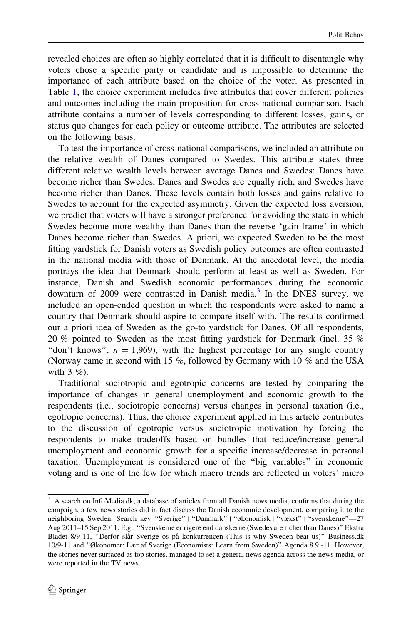revealed choices are often so highly correlated that it is difficult to disentangle why voters chose a specific party or candidate and is impossible to determine the importance of each attribute based on the choice of the voter. As presented in Table [1](#page-8-0), the choice experiment includes five attributes that cover different policies and outcomes including the main proposition for cross-national comparison. Each attribute contains a number of levels corresponding to different losses, gains, or status quo changes for each policy or outcome attribute. The attributes are selected on the following basis.

To test the importance of cross-national comparisons, we included an attribute on the relative wealth of Danes compared to Swedes. This attribute states three different relative wealth levels between average Danes and Swedes: Danes have become richer than Swedes, Danes and Swedes are equally rich, and Swedes have become richer than Danes. These levels contain both losses and gains relative to Swedes to account for the expected asymmetry. Given the expected loss aversion, we predict that voters will have a stronger preference for avoiding the state in which Swedes become more wealthy than Danes than the reverse 'gain frame' in which Danes become richer than Swedes. A priori, we expected Sweden to be the most fitting yardstick for Danish voters as Swedish policy outcomes are often contrasted in the national media with those of Denmark. At the anecdotal level, the media portrays the idea that Denmark should perform at least as well as Sweden. For instance, Danish and Swedish economic performances during the economic downturn of 2009 were contrasted in Danish media.<sup>3</sup> In the DNES survey, we included an open-ended question in which the respondents were asked to name a country that Denmark should aspire to compare itself with. The results confirmed our a priori idea of Sweden as the go-to yardstick for Danes. Of all respondents, 20 % pointed to Sweden as the most fitting yardstick for Denmark (incl. 35 % "don't knows",  $n = 1,969$ ), with the highest percentage for any single country (Norway came in second with 15 %, followed by Germany with 10 % and the USA with  $3 \%$ ).

Traditional sociotropic and egotropic concerns are tested by comparing the importance of changes in general unemployment and economic growth to the respondents (i.e., sociotropic concerns) versus changes in personal taxation (i.e., egotropic concerns). Thus, the choice experiment applied in this article contributes to the discussion of egotropic versus sociotropic motivation by forcing the respondents to make tradeoffs based on bundles that reduce/increase general unemployment and economic growth for a specific increase/decrease in personal taxation. Unemployment is considered one of the ''big variables'' in economic voting and is one of the few for which macro trends are reflected in voters' micro

<sup>&</sup>lt;sup>3</sup> A search on InfoMedia.dk, a database of articles from all Danish news media, confirms that during the campaign, a few news stories did in fact discuss the Danish economic development, comparing it to the neighboring Sweden. Search key "Sverige"+"Danmark"+"økonomisk+"vækst"+"svenskerne"-27 Aug 2011–15 Sep 2011. E.g., ''Svenskerne er rigere end danskerne (Swedes are richer than Danes)'' Ekstra Bladet 8/9-11, "Derfor slår Sverige os på konkurrencen (This is why Sweden beat us)" Business.dk 10/9-11 and ''Økonomer: Lær af Sverige (Economists: Learn from Sweden)'' Agenda 8.9.-11. However, the stories never surfaced as top stories, managed to set a general news agenda across the news media, or were reported in the TV news.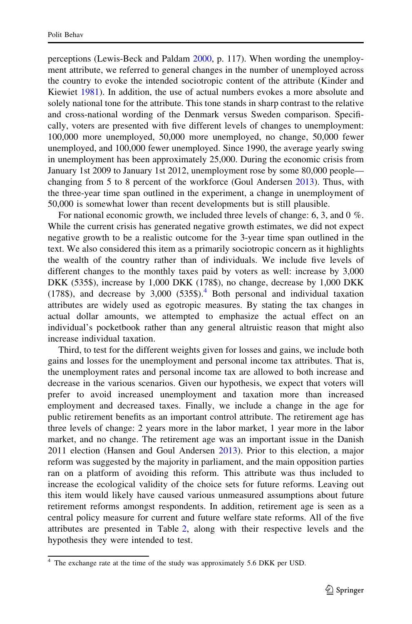perceptions (Lewis-Beck and Paldam [2000,](#page-21-0) p. 117). When wording the unemployment attribute, we referred to general changes in the number of unemployed across the country to evoke the intended sociotropic content of the attribute (Kinder and Kiewiet [1981](#page-21-0)). In addition, the use of actual numbers evokes a more absolute and solely national tone for the attribute. This tone stands in sharp contrast to the relative and cross-national wording of the Denmark versus Sweden comparison. Specifically, voters are presented with five different levels of changes to unemployment: 100,000 more unemployed, 50,000 more unemployed, no change, 50,000 fewer unemployed, and 100,000 fewer unemployed. Since 1990, the average yearly swing in unemployment has been approximately 25,000. During the economic crisis from January 1st 2009 to January 1st 2012, unemployment rose by some 80,000 people changing from 5 to 8 percent of the workforce (Goul Andersen [2013](#page-20-0)). Thus, with the three-year time span outlined in the experiment, a change in unemployment of 50,000 is somewhat lower than recent developments but is still plausible.

For national economic growth, we included three levels of change: 6, 3, and 0 %. While the current crisis has generated negative growth estimates, we did not expect negative growth to be a realistic outcome for the 3-year time span outlined in the text. We also considered this item as a primarily sociotropic concern as it highlights the wealth of the country rather than of individuals. We include five levels of different changes to the monthly taxes paid by voters as well: increase by 3,000 DKK (535\$), increase by 1,000 DKK (178\$), no change, decrease by 1,000 DKK (178\$), and decrease by  $3,000$  (535\$).<sup>4</sup> Both personal and individual taxation attributes are widely used as egotropic measures. By stating the tax changes in actual dollar amounts, we attempted to emphasize the actual effect on an individual's pocketbook rather than any general altruistic reason that might also increase individual taxation.

Third, to test for the different weights given for losses and gains, we include both gains and losses for the unemployment and personal income tax attributes. That is, the unemployment rates and personal income tax are allowed to both increase and decrease in the various scenarios. Given our hypothesis, we expect that voters will prefer to avoid increased unemployment and taxation more than increased employment and decreased taxes. Finally, we include a change in the age for public retirement benefits as an important control attribute. The retirement age has three levels of change: 2 years more in the labor market, 1 year more in the labor market, and no change. The retirement age was an important issue in the Danish 2011 election (Hansen and Goul Andersen [2013](#page-20-0)). Prior to this election, a major reform was suggested by the majority in parliament, and the main opposition parties ran on a platform of avoiding this reform. This attribute was thus included to increase the ecological validity of the choice sets for future reforms. Leaving out this item would likely have caused various unmeasured assumptions about future retirement reforms amongst respondents. In addition, retirement age is seen as a central policy measure for current and future welfare state reforms. All of the five attributes are presented in Table [2](#page-11-0), along with their respective levels and the hypothesis they were intended to test.

<sup>4</sup> The exchange rate at the time of the study was approximately 5.6 DKK per USD.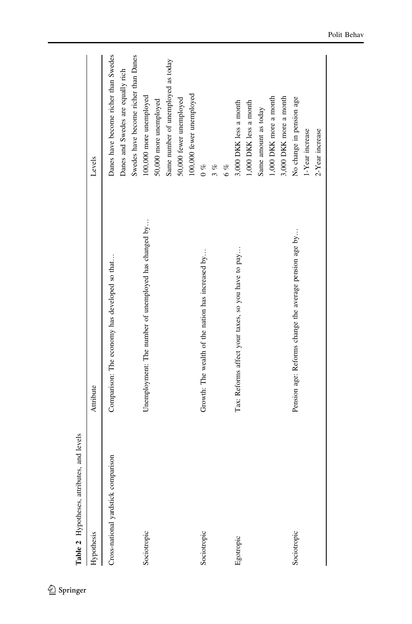<span id="page-11-0"></span>

| <b>Lable <math>\angle</math></b> $\Box$ politics es, althoutes, and ievels |                                                        |                                                                                           |
|----------------------------------------------------------------------------|--------------------------------------------------------|-------------------------------------------------------------------------------------------|
| Hypothesis                                                                 | Attribute                                              | Levels                                                                                    |
| Cross-national yardstick comparison                                        | Comparison: The economy has developed so that          | Danes have become richer than Swedes<br>Danes and Swedes are equally rich                 |
| Sociotropic                                                                | Unemployment: The number of unemployed has changed by  | Swedes have become richer than Danes<br>100,000 more unemployed<br>50,000 more unemployed |
|                                                                            |                                                        | Same number of unemployed as today<br>50,000 fewer unemployed                             |
| Sociotropic                                                                | Growth: The wealth of the nation has increased by      | 100,000 fewer unemployed<br>$\frac{2}{2}$                                                 |
| Egotropic                                                                  | Tax: Reforms affect your taxes, so you have to pay     | 3,000 DKK less a month<br>3%<br>6 %                                                       |
|                                                                            |                                                        | 1,000 DKK more a month<br>1,000 DKK less a month<br>Same amount as today                  |
| Sociotropic                                                                | Pension age: Reforms change the average pension age by | 3,000 DKK more a month<br>No change in pension age<br>1-Year increase                     |
|                                                                            |                                                        | 2-Year increase                                                                           |

Table 2. Hypotheses attributes and levels Table 2 Hypotheses, attributes, and levels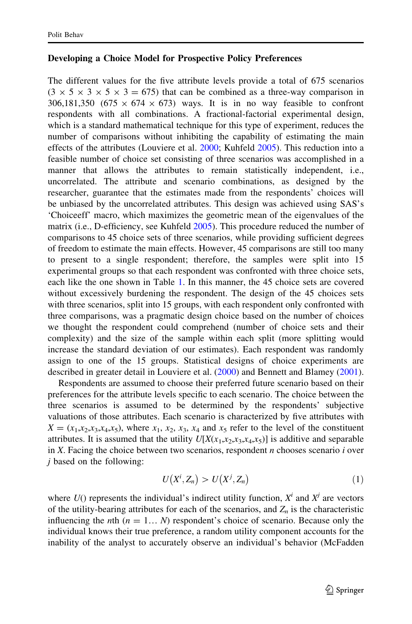#### Developing a Choice Model for Prospective Policy Preferences

The different values for the five attribute levels provide a total of 675 scenarios  $(3 \times 5 \times 3 \times 5 \times 3 = 675)$  that can be combined as a three-way comparison in 306,181,350 (675  $\times$  674  $\times$  673) ways. It is in no way feasible to confront respondents with all combinations. A fractional-factorial experimental design, which is a standard mathematical technique for this type of experiment, reduces the number of comparisons without inhibiting the capability of estimating the main effects of the attributes (Louviere et al. [2000](#page-21-0); Kuhfeld [2005\)](#page-21-0). This reduction into a feasible number of choice set consisting of three scenarios was accomplished in a manner that allows the attributes to remain statistically independent, i.e., uncorrelated. The attribute and scenario combinations, as designed by the researcher, guarantee that the estimates made from the respondents' choices will be unbiased by the uncorrelated attributes. This design was achieved using SAS's 'Choiceeff' macro, which maximizes the geometric mean of the eigenvalues of the matrix (i.e., D-efficiency, see Kuhfeld [2005](#page-21-0)). This procedure reduced the number of comparisons to 45 choice sets of three scenarios, while providing sufficient degrees of freedom to estimate the main effects. However, 45 comparisons are still too many to present to a single respondent; therefore, the samples were split into 15 experimental groups so that each respondent was confronted with three choice sets, each like the one shown in Table [1.](#page-8-0) In this manner, the 45 choice sets are covered without excessively burdening the respondent. The design of the 45 choices sets with three scenarios, split into 15 groups, with each respondent only confronted with three comparisons, was a pragmatic design choice based on the number of choices we thought the respondent could comprehend (number of choice sets and their complexity) and the size of the sample within each split (more splitting would increase the standard deviation of our estimates). Each respondent was randomly assign to one of the 15 groups. Statistical designs of choice experiments are described in greater detail in Louviere et al. [\(2000\)](#page-21-0) and Bennett and Blamey ([2001\)](#page-20-0).

Respondents are assumed to choose their preferred future scenario based on their preferences for the attribute levels specific to each scenario. The choice between the three scenarios is assumed to be determined by the respondents' subjective valuations of those attributes. Each scenario is characterized by five attributes with  $X = (x_1, x_2, x_3, x_4, x_5)$ , where  $x_1, x_2, x_3, x_4$  and  $x_5$  refer to the level of the constituent attributes. It is assumed that the utility  $U[X(x_1,x_2,x_3,x_4,x_5)]$  is additive and separable in X. Facing the choice between two scenarios, respondent  $n$  chooses scenario  $i$  over j based on the following:

$$
U(X^i, Z_n) > U(X^j, Z_n)
$$
\n<sup>(1)</sup>

where  $U($ ) represents the individual's indirect utility function,  $X<sup>i</sup>$  and  $X<sup>j</sup>$  are vectors of the utility-bearing attributes for each of the scenarios, and  $Z_n$  is the characteristic influencing the *n*th  $(n = 1... N)$  respondent's choice of scenario. Because only the individual knows their true preference, a random utility component accounts for the inability of the analyst to accurately observe an individual's behavior (McFadden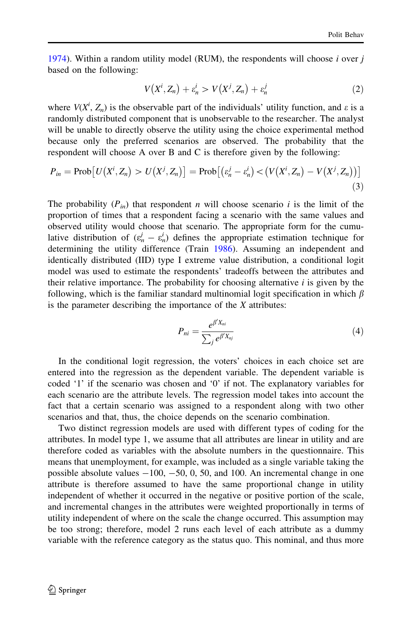[1974\)](#page-21-0). Within a random utility model (RUM), the respondents will choose  $i$  over  $j$ based on the following:

$$
V(X^i, Z_n) + \varepsilon_n^i > V(X^j, Z_n) + \varepsilon_n^j
$$
\n<sup>(2)</sup>

where  $V(X^i, Z_n)$  is the observable part of the individuals' utility function, and  $\varepsilon$  is a randomly distributed component that is unobservable to the researcher. The analyst will be unable to directly observe the utility using the choice experimental method because only the preferred scenarios are observed. The probability that the respondent will choose A over B and C is therefore given by the following:

$$
P_{in} = \text{Prob}\big[U\big(X^i, Z_n\big) > U\big(X^j, Z_n\big)\big] = \text{Prob}\big[\big(\varepsilon_n^j - \varepsilon_n^i\big) < \big(V\big(X^i, Z_n\big) - V\big(X^j, Z_n\big)\big)\big] \tag{3}
$$

The probability  $(P_{in})$  that respondent *n* will choose scenario *i* is the limit of the proportion of times that a respondent facing a scenario with the same values and observed utility would choose that scenario. The appropriate form for the cumulative distribution of  $(\varepsilon_n^j - \varepsilon_n^i)$  defines the appropriate estimation technique for determining the utility difference (Train [1986\)](#page-22-0). Assuming an independent and identically distributed (IID) type I extreme value distribution, a conditional logit model was used to estimate the respondents' tradeoffs between the attributes and their relative importance. The probability for choosing alternative  $i$  is given by the following, which is the familiar standard multinomial logit specification in which  $\beta$ is the parameter describing the importance of the  $X$  attributes:

$$
P_{ni} = \frac{e^{\beta' X_{ni}}}{\sum_j e^{\beta' X_{nj}}}
$$
\n<sup>(4)</sup>

In the conditional logit regression, the voters' choices in each choice set are entered into the regression as the dependent variable. The dependent variable is coded '1' if the scenario was chosen and '0' if not. The explanatory variables for each scenario are the attribute levels. The regression model takes into account the fact that a certain scenario was assigned to a respondent along with two other scenarios and that, thus, the choice depends on the scenario combination.

Two distinct regression models are used with different types of coding for the attributes. In model type 1, we assume that all attributes are linear in utility and are therefore coded as variables with the absolute numbers in the questionnaire. This means that unemployment, for example, was included as a single variable taking the possible absolute values  $-100$ ,  $-50$ , 0, 50, and 100. An incremental change in one attribute is therefore assumed to have the same proportional change in utility independent of whether it occurred in the negative or positive portion of the scale, and incremental changes in the attributes were weighted proportionally in terms of utility independent of where on the scale the change occurred. This assumption may be too strong; therefore, model 2 runs each level of each attribute as a dummy variable with the reference category as the status quo. This nominal, and thus more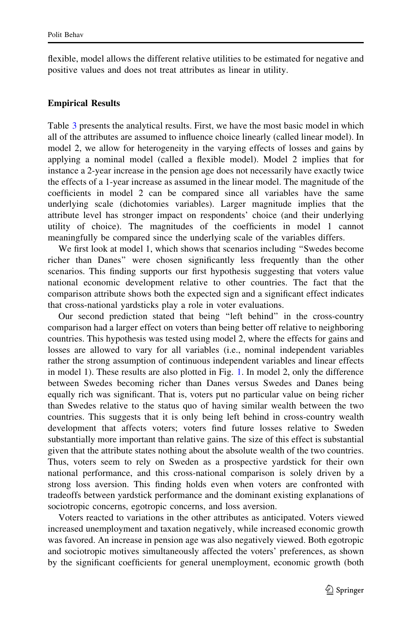flexible, model allows the different relative utilities to be estimated for negative and positive values and does not treat attributes as linear in utility.

## Empirical Results

Table [3](#page-15-0) presents the analytical results. First, we have the most basic model in which all of the attributes are assumed to influence choice linearly (called linear model). In model 2, we allow for heterogeneity in the varying effects of losses and gains by applying a nominal model (called a flexible model). Model 2 implies that for instance a 2-year increase in the pension age does not necessarily have exactly twice the effects of a 1-year increase as assumed in the linear model. The magnitude of the coefficients in model 2 can be compared since all variables have the same underlying scale (dichotomies variables). Larger magnitude implies that the attribute level has stronger impact on respondents' choice (and their underlying utility of choice). The magnitudes of the coefficients in model 1 cannot meaningfully be compared since the underlying scale of the variables differs.

We first look at model 1, which shows that scenarios including ''Swedes become richer than Danes'' were chosen significantly less frequently than the other scenarios. This finding supports our first hypothesis suggesting that voters value national economic development relative to other countries. The fact that the comparison attribute shows both the expected sign and a significant effect indicates that cross-national yardsticks play a role in voter evaluations.

Our second prediction stated that being ''left behind'' in the cross-country comparison had a larger effect on voters than being better off relative to neighboring countries. This hypothesis was tested using model 2, where the effects for gains and losses are allowed to vary for all variables (i.e., nominal independent variables rather the strong assumption of continuous independent variables and linear effects in model 1). These results are also plotted in Fig. [1.](#page-16-0) In model 2, only the difference between Swedes becoming richer than Danes versus Swedes and Danes being equally rich was significant. That is, voters put no particular value on being richer than Swedes relative to the status quo of having similar wealth between the two countries. This suggests that it is only being left behind in cross-country wealth development that affects voters; voters find future losses relative to Sweden substantially more important than relative gains. The size of this effect is substantial given that the attribute states nothing about the absolute wealth of the two countries. Thus, voters seem to rely on Sweden as a prospective yardstick for their own national performance, and this cross-national comparison is solely driven by a strong loss aversion. This finding holds even when voters are confronted with tradeoffs between yardstick performance and the dominant existing explanations of sociotropic concerns, egotropic concerns, and loss aversion.

Voters reacted to variations in the other attributes as anticipated. Voters viewed increased unemployment and taxation negatively, while increased economic growth was favored. An increase in pension age was also negatively viewed. Both egotropic and sociotropic motives simultaneously affected the voters' preferences, as shown by the significant coefficients for general unemployment, economic growth (both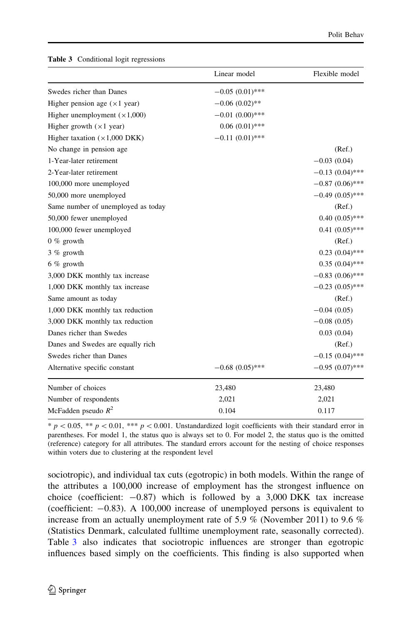<span id="page-15-0"></span>Table 3 Conditional logit regressions

|                                              | Linear model      | Flexible model    |
|----------------------------------------------|-------------------|-------------------|
| Swedes richer than Danes                     | $-0.05(0.01)$ *** |                   |
| Higher pension age $(\times 1$ year)         | $-0.06(0.02)$ **  |                   |
| Higher unemployment $(\times 1,000)$         | $-0.01(0.00)$ *** |                   |
| Higher growth $(x1$ year)                    | $0.06(0.01)$ ***  |                   |
| Higher taxation $(\times 1,000 \text{ DKK})$ | $-0.11(0.01)$ *** |                   |
| No change in pension age                     |                   | (Ref.)            |
| 1-Year-later retirement                      |                   | $-0.03(0.04)$     |
| 2-Year-later retirement                      |                   | $-0.13(0.04)$ *** |
| 100,000 more unemployed                      |                   | $-0.87(0.06)$ *** |
| 50,000 more unemployed                       |                   | $-0.49(0.05)$ *** |
| Same number of unemployed as today           |                   | (Ref.)            |
| 50,000 fewer unemployed                      |                   | $0.40(0.05)$ ***  |
| 100,000 fewer unemployed                     |                   | $0.41(0.05)$ ***  |
| $0\%$ growth                                 |                   | (Ref.)            |
| 3 % growth                                   |                   | $0.23(0.04)$ ***  |
| $6\%$ growth                                 |                   | $0.35(0.04)$ ***  |
| 3,000 DKK monthly tax increase               |                   | $-0.83(0.06)$ *** |
| 1,000 DKK monthly tax increase               |                   | $-0.23(0.05)$ *** |
| Same amount as today                         |                   | (Ref.)            |
| 1,000 DKK monthly tax reduction              |                   | $-0.04(0.05)$     |
| 3,000 DKK monthly tax reduction              |                   | $-0.08(0.05)$     |
| Danes richer than Swedes                     |                   | 0.03(0.04)        |
| Danes and Swedes are equally rich            |                   | (Ref.)            |
| Swedes richer than Danes                     |                   | $-0.15(0.04)$ *** |
| Alternative specific constant                | $-0.68(0.05)$ *** | $-0.95(0.07)$ *** |
| Number of choices                            | 23,480            | 23,480            |
| Number of respondents                        | 2,021             | 2,021             |
| McFadden pseudo $R^2$                        | 0.104             | 0.117             |

 $* p \lt 0.05$ ,  $** p \lt 0.01$ ,  $*** p \lt 0.001$ . Unstandardized logit coefficients with their standard error in parentheses. For model 1, the status quo is always set to 0. For model 2, the status quo is the omitted (reference) category for all attributes. The standard errors account for the nesting of choice responses within voters due to clustering at the respondent level

sociotropic), and individual tax cuts (egotropic) in both models. Within the range of the attributes a 100,000 increase of employment has the strongest influence on choice (coefficient:  $-0.87$ ) which is followed by a 3,000 DKK tax increase (coefficient: -0.83). A 100,000 increase of unemployed persons is equivalent to increase from an actually unemployment rate of 5.9 % (November 2011) to 9.6 % (Statistics Denmark, calculated fulltime unemployment rate, seasonally corrected). Table 3 also indicates that sociotropic influences are stronger than egotropic influences based simply on the coefficients. This finding is also supported when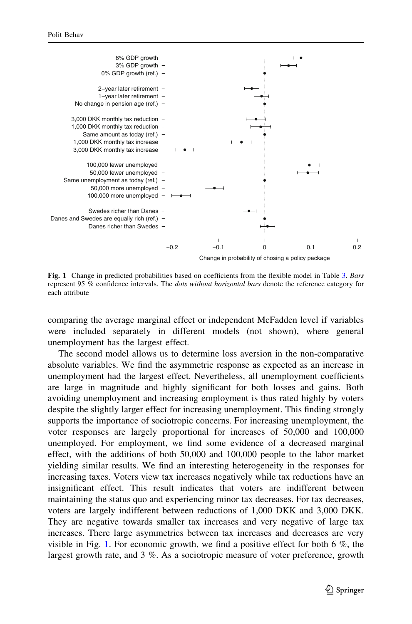<span id="page-16-0"></span>

Fig. 1 Change in predicted probabilities based on coefficients from the flexible model in Table [3.](#page-15-0) Bars represent 95 % confidence intervals. The dots without horizontal bars denote the reference category for each attribute

comparing the average marginal effect or independent McFadden level if variables were included separately in different models (not shown), where general unemployment has the largest effect.

The second model allows us to determine loss aversion in the non-comparative absolute variables. We find the asymmetric response as expected as an increase in unemployment had the largest effect. Nevertheless, all unemployment coefficients are large in magnitude and highly significant for both losses and gains. Both avoiding unemployment and increasing employment is thus rated highly by voters despite the slightly larger effect for increasing unemployment. This finding strongly supports the importance of sociotropic concerns. For increasing unemployment, the voter responses are largely proportional for increases of 50,000 and 100,000 unemployed. For employment, we find some evidence of a decreased marginal effect, with the additions of both 50,000 and 100,000 people to the labor market yielding similar results. We find an interesting heterogeneity in the responses for increasing taxes. Voters view tax increases negatively while tax reductions have an insignificant effect. This result indicates that voters are indifferent between maintaining the status quo and experiencing minor tax decreases. For tax decreases, voters are largely indifferent between reductions of 1,000 DKK and 3,000 DKK. They are negative towards smaller tax increases and very negative of large tax increases. There large asymmetries between tax increases and decreases are very visible in Fig. 1. For economic growth, we find a positive effect for both 6  $\%$ , the largest growth rate, and 3 %. As a sociotropic measure of voter preference, growth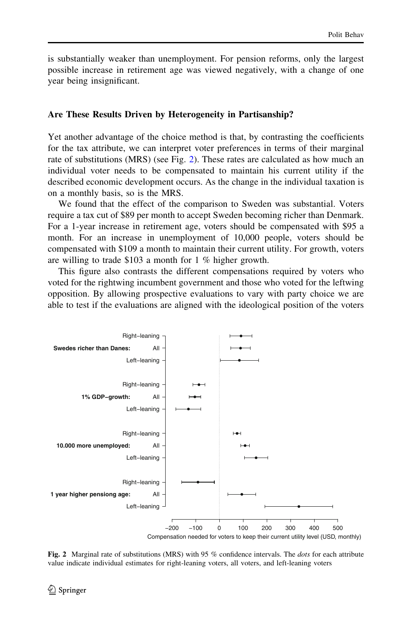is substantially weaker than unemployment. For pension reforms, only the largest possible increase in retirement age was viewed negatively, with a change of one year being insignificant.

#### Are These Results Driven by Heterogeneity in Partisanship?

Yet another advantage of the choice method is that, by contrasting the coefficients for the tax attribute, we can interpret voter preferences in terms of their marginal rate of substitutions (MRS) (see Fig. 2). These rates are calculated as how much an individual voter needs to be compensated to maintain his current utility if the described economic development occurs. As the change in the individual taxation is on a monthly basis, so is the MRS.

We found that the effect of the comparison to Sweden was substantial. Voters require a tax cut of \$89 per month to accept Sweden becoming richer than Denmark. For a 1-year increase in retirement age, voters should be compensated with \$95 a month. For an increase in unemployment of 10,000 people, voters should be compensated with \$109 a month to maintain their current utility. For growth, voters are willing to trade \$103 a month for 1 % higher growth.

This figure also contrasts the different compensations required by voters who voted for the rightwing incumbent government and those who voted for the leftwing opposition. By allowing prospective evaluations to vary with party choice we are able to test if the evaluations are aligned with the ideological position of the voters



Fig. 2 Marginal rate of substitutions (MRS) with 95 % confidence intervals. The *dots* for each attribute value indicate individual estimates for right-leaning voters, all voters, and left-leaning voters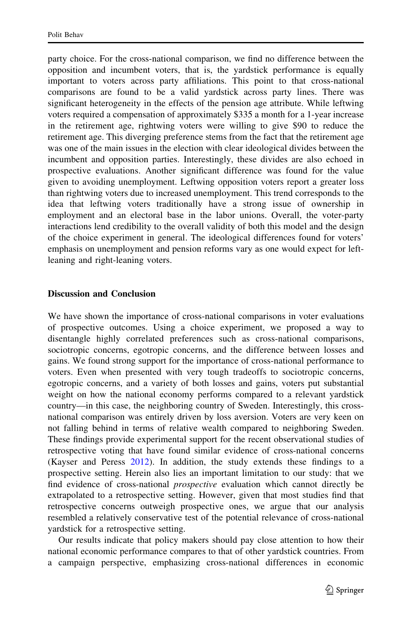party choice. For the cross-national comparison, we find no difference between the opposition and incumbent voters, that is, the yardstick performance is equally important to voters across party affiliations. This point to that cross-national comparisons are found to be a valid yardstick across party lines. There was significant heterogeneity in the effects of the pension age attribute. While leftwing voters required a compensation of approximately \$335 a month for a 1-year increase in the retirement age, rightwing voters were willing to give \$90 to reduce the retirement age. This diverging preference stems from the fact that the retirement age was one of the main issues in the election with clear ideological divides between the incumbent and opposition parties. Interestingly, these divides are also echoed in prospective evaluations. Another significant difference was found for the value given to avoiding unemployment. Leftwing opposition voters report a greater loss than rightwing voters due to increased unemployment. This trend corresponds to the idea that leftwing voters traditionally have a strong issue of ownership in employment and an electoral base in the labor unions. Overall, the voter-party interactions lend credibility to the overall validity of both this model and the design of the choice experiment in general. The ideological differences found for voters' emphasis on unemployment and pension reforms vary as one would expect for leftleaning and right-leaning voters.

## Discussion and Conclusion

We have shown the importance of cross-national comparisons in voter evaluations of prospective outcomes. Using a choice experiment, we proposed a way to disentangle highly correlated preferences such as cross-national comparisons, sociotropic concerns, egotropic concerns, and the difference between losses and gains. We found strong support for the importance of cross-national performance to voters. Even when presented with very tough tradeoffs to sociotropic concerns, egotropic concerns, and a variety of both losses and gains, voters put substantial weight on how the national economy performs compared to a relevant yardstick country—in this case, the neighboring country of Sweden. Interestingly, this crossnational comparison was entirely driven by loss aversion. Voters are very keen on not falling behind in terms of relative wealth compared to neighboring Sweden. These findings provide experimental support for the recent observational studies of retrospective voting that have found similar evidence of cross-national concerns (Kayser and Peress [2012](#page-21-0)). In addition, the study extends these findings to a prospective setting. Herein also lies an important limitation to our study: that we find evidence of cross-national prospective evaluation which cannot directly be extrapolated to a retrospective setting. However, given that most studies find that retrospective concerns outweigh prospective ones, we argue that our analysis resembled a relatively conservative test of the potential relevance of cross-national yardstick for a retrospective setting.

Our results indicate that policy makers should pay close attention to how their national economic performance compares to that of other yardstick countries. From a campaign perspective, emphasizing cross-national differences in economic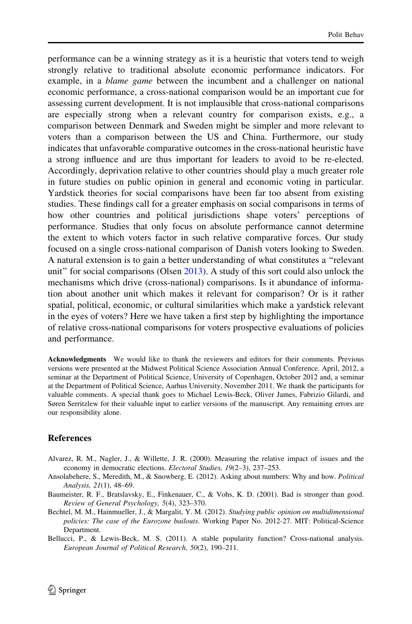<span id="page-19-0"></span>performance can be a winning strategy as it is a heuristic that voters tend to weigh strongly relative to traditional absolute economic performance indicators. For example, in a *blame game* between the incumbent and a challenger on national economic performance, a cross-national comparison would be an important cue for assessing current development. It is not implausible that cross-national comparisons are especially strong when a relevant country for comparison exists, e.g., a comparison between Denmark and Sweden might be simpler and more relevant to voters than a comparison between the US and China. Furthermore, our study indicates that unfavorable comparative outcomes in the cross-national heuristic have a strong influence and are thus important for leaders to avoid to be re-elected. Accordingly, deprivation relative to other countries should play a much greater role in future studies on public opinion in general and economic voting in particular. Yardstick theories for social comparisons have been far too absent from existing studies. These findings call for a greater emphasis on social comparisons in terms of how other countries and political jurisdictions shape voters' perceptions of performance. Studies that only focus on absolute performance cannot determine the extent to which voters factor in such relative comparative forces. Our study focused on a single cross-national comparison of Danish voters looking to Sweden. A natural extension is to gain a better understanding of what constitutes a ''relevant unit'' for social comparisons (Olsen [2013](#page-22-0)). A study of this sort could also unlock the mechanisms which drive (cross-national) comparisons. Is it abundance of information about another unit which makes it relevant for comparison? Or is it rather spatial, political, economic, or cultural similarities which make a yardstick relevant in the eyes of voters? Here we have taken a first step by highlighting the importance of relative cross-national comparisons for voters prospective evaluations of policies and performance.

Acknowledgments We would like to thank the reviewers and editors for their comments. Previous versions were presented at the Midwest Political Science Association Annual Conference. April, 2012, a seminar at the Department of Political Science, University of Copenhagen, October 2012 and, a seminar at the Department of Political Science, Aarhus University, November 2011. We thank the participants for valuable comments. A special thank goes to Michael Lewis-Beck, Oliver James, Fabrizio Gilardi, and Søren Serritzlew for their valuable input to earlier versions of the manuscript. Any remaining errors are our responsibility alone.

#### References

- Alvarez, R. M., Nagler, J., & Willette, J. R. (2000). Measuring the relative impact of issues and the economy in democratic elections. Electoral Studies, 19(2–3), 237–253.
- Ansolabehere, S., Meredith, M., & Snowberg, E. (2012). Asking about numbers: Why and how. Political Analysis, 21(1), 48–69.
- Baumeister, R. F., Bratslavsky, E., Finkenauer, C., & Vohs, K. D. (2001). Bad is stronger than good. Review of General Psychology, 5(4), 323–370.
- Bechtel, M. M., Hainmueller, J., & Margalit, Y. M. (2012). Studying public opinion on multidimensional policies: The case of the Eurozone bailouts. Working Paper No. 2012-27. MIT: Political-Science Department.
- Bellucci, P., & Lewis-Beck, M. S. (2011). A stable popularity function? Cross-national analysis. European Journal of Political Research, 50(2), 190–211.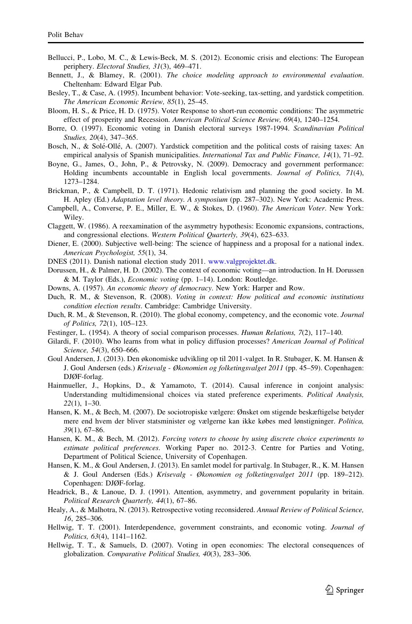- <span id="page-20-0"></span>Bellucci, P., Lobo, M. C., & Lewis-Beck, M. S. (2012). Economic crisis and elections: The European periphery. Electoral Studies, 31(3), 469–471.
- Bennett, J., & Blamey, R. (2001). The choice modeling approach to environmental evaluation. Cheltenham: Edward Elgar Pub.
- Besley, T., & Case, A. (1995). Incumbent behavior: Vote-seeking, tax-setting, and yardstick competition. The American Economic Review, 85(1), 25–45.
- Bloom, H. S., & Price, H. D. (1975). Voter Response to short-run economic conditions: The asymmetric effect of prosperity and Recession. American Political Science Review, 69(4), 1240–1254.
- Borre, O. (1997). Economic voting in Danish electoral surveys 1987-1994. Scandinavian Political Studies, 20(4), 347–365.
- Bosch, N., & Solé-Ollé, A. (2007). Yardstick competition and the political costs of raising taxes: An empirical analysis of Spanish municipalities. International Tax and Public Finance, 14(1), 71–92.
- Boyne, G., James, O., John, P., & Petrovsky, N. (2009). Democracy and government performance: Holding incumbents accountable in English local governments. Journal of Politics, 71(4), 1273–1284.
- Brickman, P., & Campbell, D. T. (1971). Hedonic relativism and planning the good society. In M. H. Apley (Ed.) Adaptation level theory. A symposium (pp. 287–302). New York: Academic Press.
- Campbell, A., Converse, P. E., Miller, E. W., & Stokes, D. (1960). The American Voter. New York: Wiley.
- Claggett, W. (1986). A reexamination of the asymmetry hypothesis: Economic expansions, contractions, and congressional elections. Western Political Quarterly, 39(4), 623–633.
- Diener, E. (2000). Subjective well-being: The science of happiness and a proposal for a national index. American Psychologist, 55(1), 34.
- DNES (2011). Danish national election study 2011. [www.valgprojektet.dk](http://www.valgprojektet.dk).
- Dorussen, H., & Palmer, H. D. (2002). The context of economic voting—an introduction. In H. Dorussen & M. Taylor (Eds.), Economic voting (pp. 1–14). London: Routledge.
- Downs, A. (1957). An economic theory of democracy. New York: Harper and Row.
- Duch, R. M., & Stevenson, R. (2008). Voting in context: How political and economic institutions condition election results. Cambridge: Cambridge University.
- Duch, R. M., & Stevenson, R. (2010). The global economy, competency, and the economic vote. Journal of Politics, 72(1), 105–123.
- Festinger, L. (1954). A theory of social comparison processes. Human Relations, 7(2), 117–140.
- Gilardi, F. (2010). Who learns from what in policy diffusion processes? American Journal of Political Science, 54(3), 650-666.
- Goul Andersen, J. (2013). Den økonomiske udvikling op til 2011-valget. In R. Stubager, K. M. Hansen & J. Goul Andersen (eds.) Krisevalg - Økonomien og folketingsvalget 2011 (pp. 45–59). Copenhagen: DJØF-forlag.
- Hainmueller, J., Hopkins, D., & Yamamoto, T. (2014). Causal inference in conjoint analysis: Understanding multidimensional choices via stated preference experiments. Political Analysis, 22(1), 1–30.
- Hansen, K. M., & Bech, M. (2007). De sociotropiske vælgere: Ønsket om stigende beskæftigelse betyder mere end hvem der bliver statsminister og vælgerne kan ikke købes med lønstigninger. Politica, 39(1), 67–86.
- Hansen, K. M., & Bech, M. (2012). Forcing voters to choose by using discrete choice experiments to estimate political preferences. Working Paper no. 2012-3. Centre for Parties and Voting, Department of Political Science, University of Copenhagen.
- Hansen, K. M., & Goul Andersen, J. (2013). En samlet model for partivalg. In Stubager, R., K. M. Hansen & J. Goul Andersen (Eds.) Krisevalg - Økonomien og folketingsvalget 2011 (pp. 189–212). Copenhagen: DJØF-forlag.
- Headrick, B., & Lanoue, D. J. (1991). Attention, asymmetry, and government popularity in britain. Political Research Quarterly, 44(1), 67–86.
- Healy, A., & Malhotra, N. (2013). Retrospective voting reconsidered. Annual Review of Political Science, 16, 285–306.
- Hellwig, T. T. (2001). Interdependence, government constraints, and economic voting. Journal of Politics, 63(4), 1141–1162.
- Hellwig, T. T., & Samuels, D. (2007). Voting in open economies: The electoral consequences of globalization. Comparative Political Studies, 40(3), 283–306.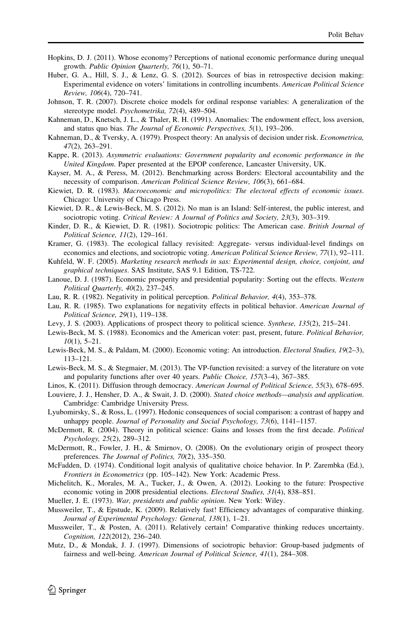- <span id="page-21-0"></span>Hopkins, D. J. (2011). Whose economy? Perceptions of national economic performance during unequal growth. Public Opinion Quarterly, 76(1), 50–71.
- Huber, G. A., Hill, S. J., & Lenz, G. S. (2012). Sources of bias in retrospective decision making: Experimental evidence on voters' limitations in controlling incumbents. American Political Science Review, 106(4), 720–741.
- Johnson, T. R. (2007). Discrete choice models for ordinal response variables: A generalization of the stereotype model. Psychometrika, 72(4), 489–504.
- Kahneman, D., Knetsch, J. L., & Thaler, R. H. (1991). Anomalies: The endowment effect, loss aversion, and status quo bias. The Journal of Economic Perspectives, 5(1), 193–206.
- Kahneman, D., & Tversky, A. (1979). Prospect theory: An analysis of decision under risk. Econometrica, 47(2), 263–291.
- Kappe, R. (2013). Asymmetric evaluations: Government popularity and economic performance in the United Kingdom. Paper presented at the EPOP conference, Lancaster University, UK.
- Kayser, M. A., & Peress, M. (2012). Benchmarking across Borders: Electoral accountability and the necessity of comparison. American Political Science Review, 106(3), 661–684.
- Kiewiet, D. R. (1983). Macroeconomic and micropolitics: The electoral effects of economic issues. Chicago: University of Chicago Press.
- Kiewiet, D. R., & Lewis-Beck, M. S. (2012). No man is an Island: Self-interest, the public interest, and sociotropic voting. Critical Review: A Journal of Politics and Society, 23(3), 303-319.
- Kinder, D. R., & Kiewiet, D. R. (1981). Sociotropic politics: The American case. British Journal of Political Science, 11(2), 129–161.
- Kramer, G. (1983). The ecological fallacy revisited: Aggregate- versus individual-level findings on economics and elections, and sociotropic voting. American Political Science Review, 77(1), 92–111.
- Kuhfeld, W. F. (2005). Marketing research methods in sas: Experimental design, choice, conjoint, and graphical techniques. SAS Institute, SAS 9.1 Edition, TS-722.
- Lanoue, D. J. (1987). Economic prosperity and presidential popularity: Sorting out the effects. Western Political Quarterly, 40(2), 237–245.
- Lau, R. R. (1982). Negativity in political perception. Political Behavior, 4(4), 353–378.
- Lau, R. R. (1985). Two explanations for negativity effects in political behavior. American Journal of Political Science, 29(1), 119–138.
- Levy, J. S. (2003). Applications of prospect theory to political science. Synthese, 135(2), 215–241.
- Lewis-Beck, M. S. (1988). Economics and the American voter: past, present, future. *Political Behavior*,  $10(1)$ , 5–21.
- Lewis-Beck, M. S., & Paldam, M. (2000). Economic voting: An introduction. Electoral Studies, 19(2–3), 113–121.
- Lewis-Beck, M. S., & Stegmaier, M. (2013). The VP-function revisited: a survey of the literature on vote and popularity functions after over 40 years. Public Choice, 157(3–4), 367–385.
- Linos, K. (2011). Diffusion through democracy. American Journal of Political Science, 55(3), 678–695.
- Louviere, J. J., Hensher, D. A., & Swait, J. D. (2000). Stated choice methods—analysis and application. Cambridge: Cambridge University Press.
- Lyubomirsky, S., & Ross, L. (1997). Hedonic consequences of social comparison: a contrast of happy and unhappy people. Journal of Personality and Social Psychology, 73(6), 1141-1157.
- McDermott, R. (2004). Theory in political science: Gains and losses from the first decade. Political Psychology, 25(2), 289–312.
- McDermott, R., Fowler, J. H., & Smirnov, O. (2008). On the evolutionary origin of prospect theory preferences. The Journal of Politics, 70(2), 335–350.
- McFadden, D. (1974). Conditional logit analysis of qualitative choice behavior. In P. Zarembka (Ed.), Frontiers in Econometrics (pp. 105–142). New York: Academic Press.
- Michelitch, K., Morales, M. A., Tucker, J., & Owen, A. (2012). Looking to the future: Prospective economic voting in 2008 presidential elections. Electoral Studies, 31(4), 838–851.
- Mueller, J. E. (1973). War, presidents and public opinion. New York: Wiley.
- Mussweiler, T., & Epstude, K. (2009). Relatively fast! Efficiency advantages of comparative thinking. Journal of Experimental Psychology: General, 138(1), 1–21.
- Mussweiler, T., & Posten, A. (2011). Relatively certain! Comparative thinking reduces uncertainty. Cognition, 122(2012), 236–240.
- Mutz, D., & Mondak, J. J. (1997). Dimensions of sociotropic behavior: Group-based judgments of fairness and well-being. American Journal of Political Science, 41(1), 284–308.